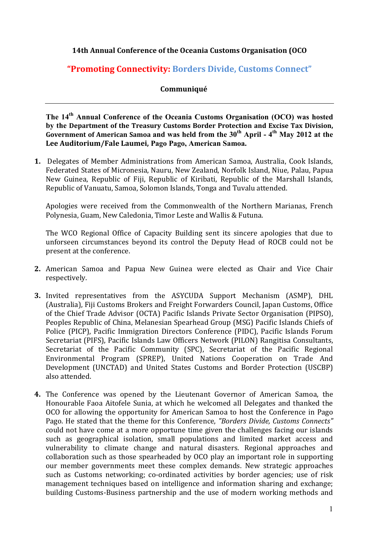## **14th Annual Conference of the Oceania Customs Organisation (OCO**

## **"Promoting Connectivity: Borders Divide, Customs Connect"**

## **Communiqué**

**The 14th Annual Conference of the Oceania Customs Organisation (OCO) was hosted by the Department of the Treasury Customs Border Protection and Excise Tax Division, Government of American Samoa and was held from the 30th April - 4th May 2012 at the Lee Auditorium/Fale Laumei, Pago Pago, American Samoa.** 

**1.** Delegates of Member Administrations from American Samoa, Australia, Cook Islands, Federated States of Micronesia, Nauru, New Zealand, Norfolk Island, Niue, Palau, Papua New Guinea, Republic of Fiji, Republic of Kiribati, Republic of the Marshall Islands, Republic of Vanuatu, Samoa, Solomon Islands, Tonga and Tuvalu attended.

Apologies were received from the Commonwealth of the Northern Marianas, French Polynesia, Guam, New Caledonia, Timor Leste and Wallis & Futuna.

The WCO Regional Office of Capacity Building sent its sincere apologies that due to unforseen circumstances beyond its control the Deputy Head of ROCB could not be present at the conference.

- **2.** American Samoa and Papua New Guinea were elected as Chair and Vice Chair respectively.
- **3.** Invited representatives from the ASYCUDA Support Mechanism (ASMP), DHL (Australia), Fiji Customs Brokers and Freight Forwarders Council, Japan Customs, Office of the Chief Trade Advisor (OCTA) Pacific Islands Private Sector Organisation (PIPSO), Peoples Republic of China, Melanesian Spearhead Group (MSG) Pacific Islands Chiefs of Police (PICP), Pacific Immigration Directors Conference (PIDC), Pacific Islands Forum Secretariat (PIFS), Pacific Islands Law Officers Network (PILON) Rangitisa Consultants, Secretariat of the Pacific Community (SPC), Secretariat of the Pacific Regional Environmental Program (SPREP), United Nations Cooperation on Trade And Development (UNCTAD) and United States Customs and Border Protection (USCBP) also attended.
- **4.** The Conference was opened by the Lieutenant Governor of American Samoa, the Honourable Faoa Aitofele Sunia, at which he welcomed all Delegates and thanked the OCO for allowing the opportunity for American Samoa to host the Conference in Pago Pago. He stated that the theme for this Conference, *"Borders Divide, Customs Connects"* could not have come at a more opportune time given the challenges facing our islands such as geographical isolation, small populations and limited market access and vulnerability to climate change and natural disasters. Regional approaches and collaboration such as those spearheaded by OCO play an important role in supporting our member governments meet these complex demands. New strategic approaches such as Customs networking; co-ordinated activities by border agencies; use of risk management techniques based on intelligence and information sharing and exchange; building Customs-Business partnership and the use of modern working methods and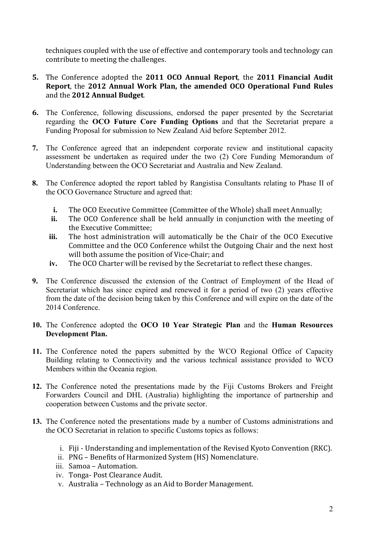techniques coupled with the use of effective and contemporary tools and technology can contribute to meeting the challenges.

- **5.** The Conference adopted the **2011 OCO Annual Report**, the **2011 Financial Audit Report**, the **2012 Annual Work Plan, the amended OCO Operational Fund Rules**  and the **2012 Annual Budget**.
- **6.** The Conference, following discussions, endorsed the paper presented by the Secretariat regarding the **OCO Future Core Funding Options** and that the Secretariat prepare a Funding Proposal for submission to New Zealand Aid before September 2012.
- **7.** The Conference agreed that an independent corporate review and institutional capacity assessment be undertaken as required under the two (2) Core Funding Memorandum of Understanding between the OCO Secretariat and Australia and New Zealand.
- **8.** The Conference adopted the report tabled by Rangistisa Consultants relating to Phase II of the OCO Governance Structure and agreed that:
	- **i.** The OCO Executive Committee (Committee of the Whole) shall meet Annually;
	- **ii.** The OCO Conference shall be held annually in conjunction with the meeting of the Executive Committee;
	- **iii.** The host administration will automatically be the Chair of the OCO Executive Committee and the OCO Conference whilst the Outgoing Chair and the next host will both assume the position of Vice-Chair; and
	- **iv.** The OCO Charter will be revised by the Secretariat to reflect these changes.
- **9.** The Conference discussed the extension of the Contract of Employment of the Head of Secretariat which has since expired and renewed it for a period of two (2) years effective from the date of the decision being taken by this Conference and will expire on the date of the 2014 Conference.
- **10.** The Conference adopted the **OCO 10 Year Strategic Plan** and the **Human Resources Development Plan.**
- **11.** The Conference noted the papers submitted by the WCO Regional Office of Capacity Building relating to Connectivity and the various technical assistance provided to WCO Members within the Oceania region.
- **12.** The Conference noted the presentations made by the Fiji Customs Brokers and Freight Forwarders Council and DHL (Australia) highlighting the importance of partnership and cooperation between Customs and the private sector.
- **13.** The Conference noted the presentations made by a number of Customs administrations and the OCO Secretariat in relation to specific Customs topics as follows:
	- i. Fiji Understanding and implementation of the Revised Kyoto Convention (RKC).
	- ii. PNG Benefits of Harmonized System (HS) Nomenclature.
	- iii. Samoa Automation.
	- iv. Tonga- Post Clearance Audit.
	- v. Australia Technology as an Aid to Border Management.